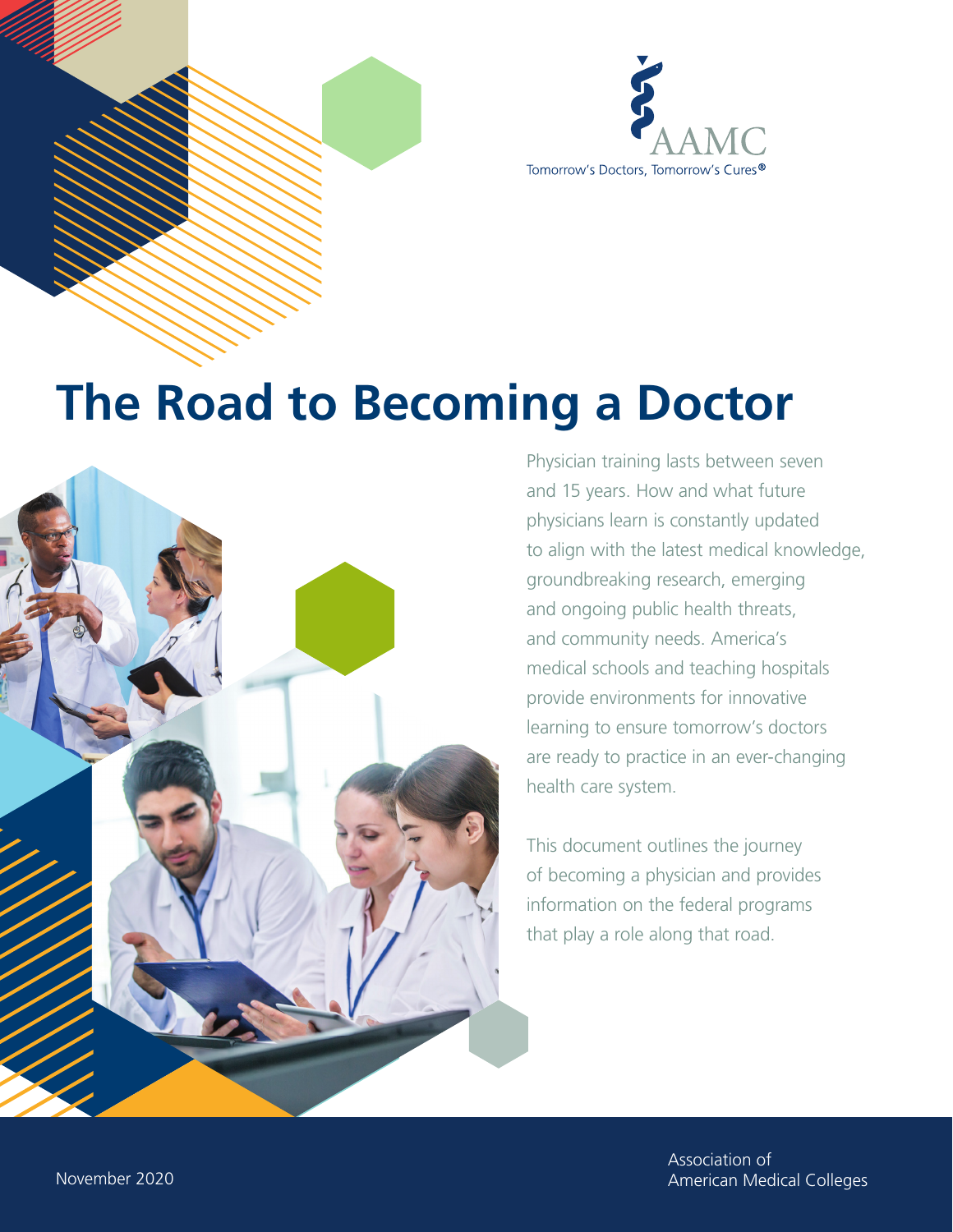

# **The Road to Becoming a Doctor**



Physician training lasts between seven and 15 years. How and what future physicians learn is constantly updated to align with the latest medical knowledge, groundbreaking research, emerging and ongoing public health threats, and community needs. America's medical schools and teaching hospitals provide environments for innovative learning to ensure tomorrow's doctors are ready to practice in an ever-changing health care system.

This document outlines the journey of becoming a physician and provides information on the federal programs that play a role along that road.

> Association of Association of American Medical Colleges American Medical Colleges

November 2020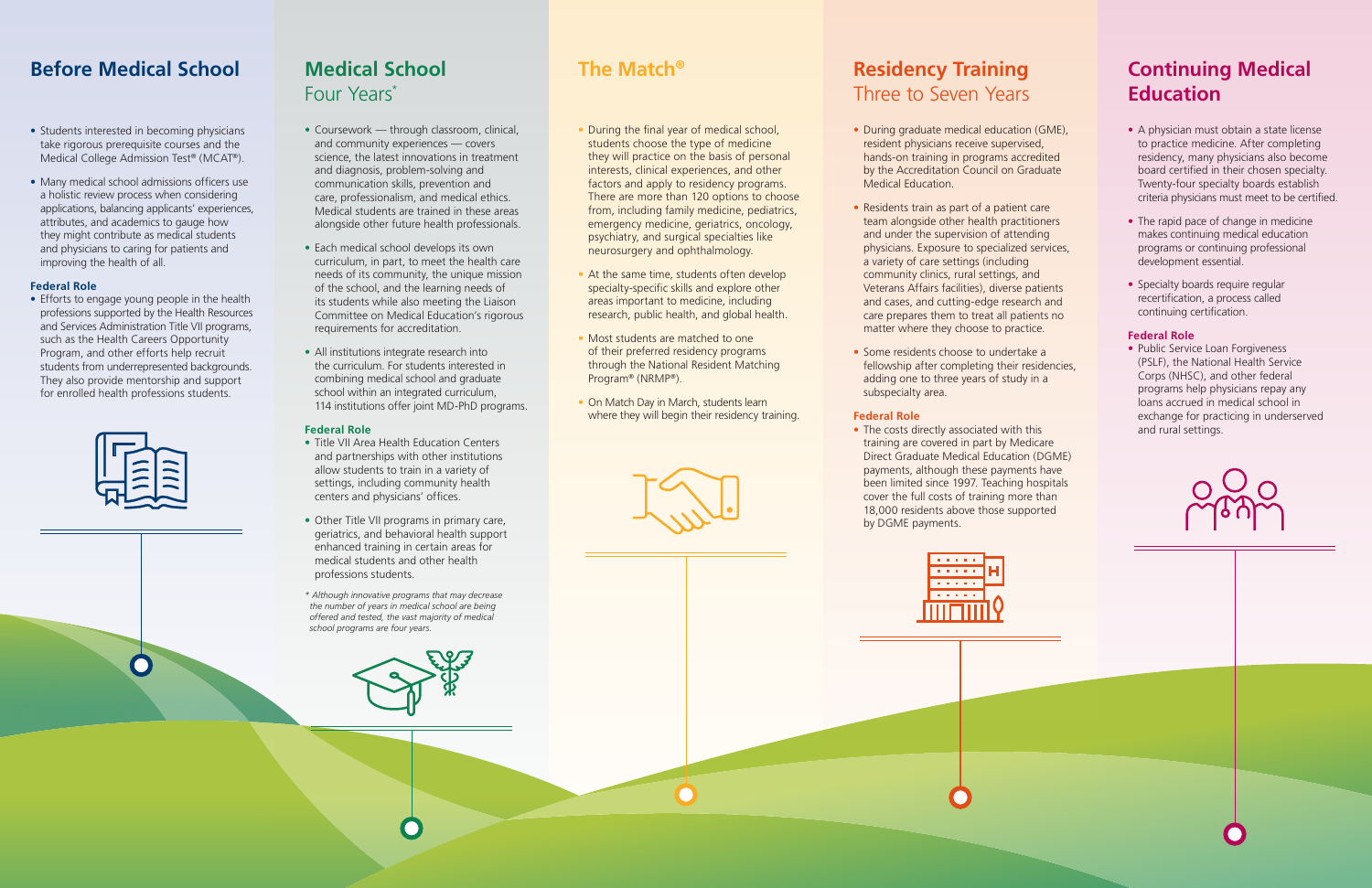# **Before Medical School**

- Students interested in becoming physicians take rigorous prerequisite courses and the Medical College Admission Test® (MCAT®).
- Many medical school admissions officers use a holistic review process when considering applications, balancing applicants' experiences, attributes, and academics to gauge how they might contribute as medical students and physicians to caring for patients and improving the health of all.

### **Federal Role**

• Efforts to engage young people in the health professions supported by the Health Resources and Services Administration Title VII programs, such as the Health Careers Opportunity Program, and other efforts help recruit students from underrepresented backgrounds. They also provide mentorship and support for enrolled health professions students.



 $\bullet$ 

# **Medical School**  Four Years\*

- Coursework through classroom, clinical, and community experiences — covers science, the latest innovations in treatment and diagnosis, problem-solving and communication skills, prevention and care, professionalism, and medical ethics. Medical students are trained in these areas alongside other future health professionals.
- Each medical school develops its own curriculum, in part, to meet the health care needs of its community, the unique mission of the school, and the learning needs of its students while also meeting the Liaison Committee on Medical Education's rigorous requirements for accreditation.
- All institutions integrate research into the curriculum. For students interested in combining medical school and graduate school within an integrated curriculum, 114 institutions offer joint MD-PhD programs.
- During the final year of medical school, students choose the type of medicine they will practice on the basis of personal interests, clinical experiences, and other factors and apply to residency programs. There are more than 120 options to choose from, including family medicine, pediatrics, emergency medicine, geriatrics, oncology, psychiatry, and surgical specialties like neurosurgery and ophthalmology.
- At the same time, students often develop specialty-specific skills and explore other areas important to medicine, including research, public health, and global health.
- Most students are matched to one of their preferred residency programs through the National Resident Matching Program® (NRMP®).
- On Match Day in March, students learn where they will begin their residency training.



#### **Federal Role**

- Title VII Area Health Education Centers and partnerships with other institutions allow students to train in a variety of settings, including community health centers and physicians' offices.
- Other Title VII programs in primary care, geriatrics, and behavioral health support enhanced training in certain areas for medical students and other health professions students.
- *\* Although innovative programs that may decrease the number of years in medical school are being offered and tested, the vast majority of medical school programs are four years.*



• The costs directly associated with this training are covered in part by Medicare Direct Graduate Medical Education (DGME) payments, although these payments have been limited since 1997. Teaching hospitals cover the full costs of training more than 18,000 residents above those supported by DGME payments.



## **The Match®**

• Public Service Loan Forgiveness (PSLF), the National Health Service Corps (NHSC), and other federal programs help physicians repay any loans accrued in medical school in exchange for practicing in underserved and rural settings.



# **Residency Training**  Three to Seven Years

- During graduate medical education (GME), resident physicians receive supervised, hands-on training in programs accredited by the Accreditation Council on Graduate Medical Education.
- Residents train as part of a patient care team alongside other health practitioners and under the supervision of attending physicians. Exposure to specialized services, a variety of care settings (including community clinics, rural settings, and Veterans Affairs facilities), diverse patients and cases, and cutting-edge research and care prepares them to treat all patients no matter where they choose to practice.
- Some residents choose to undertake a fellowship after completing their residencies, adding one to three years of study in a subspecialty area.

### **Federal Role**

## **Continuing Medical Education**

- A physician must obtain a state license to practice medicine. After completing residency, many physicians also become board certified in their chosen specialty. Twenty-four specialty boards establish criteria physicians must meet to be certified.
- The rapid pace of change in medicine makes continuing medical education programs or continuing professional development essential.
- Specialty boards require regular recertification, a process called continuing certification.

#### **Federal Role**